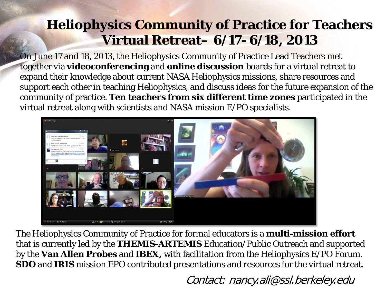## **Heliophysics Community of Practice for Teachers Virtual Retreat– 6/17- 6/18, 2013**

On June 17 and 18, 2013, the Heliophysics Community of Practice Lead Teachers met together via **videoconferencing** and **online discussion** boards for a virtual retreat to expand their knowledge about current NASA Heliophysics missions, share resources and support each other in teaching Heliophysics, and discuss ideas for the future expansion of the community of practice. **Ten teachers from six different time zones** participated in the virtual retreat along with scientists and NASA mission E/PO specialists.



The Heliophysics Community of Practice for formal educators is a **multi-mission effort**  that is currently led by the **THEMIS-ARTEMIS** Education/Public Outreach and supported by the **Van Allen Probes** and **IBEX,** with facilitation from the Heliophysics E/PO Forum. **SDO** and **IRIS** mission EPO contributed presentations and resources for the virtual retreat.

Contact: nancy.ali@ssl.berkeley.edu